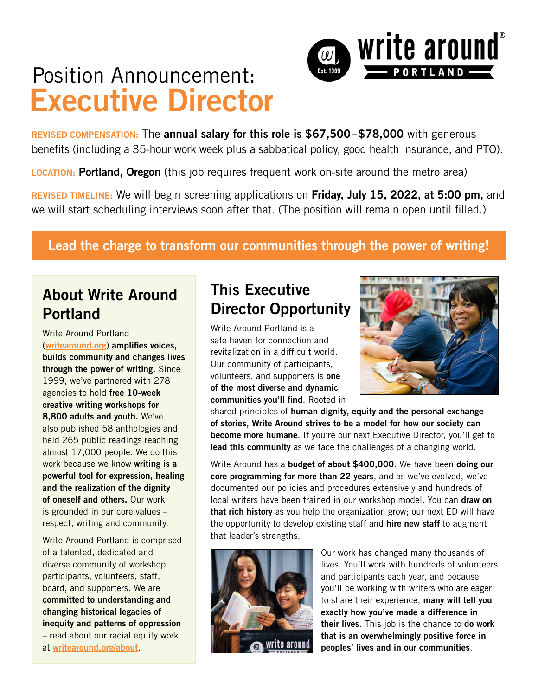# Position Announcement: **Executive Director**

**REVISED COMPENSATION:** The **annual salary for this role is \$67,500–\$78,000** with generous benefits (including a 35-hour work week plus a sabbatical policy, good health insurance, and PTO).

 $\omega$ 

**LOCATION: Portland, Oregon** (this job requires frequent work on-site around the metro area)

**REVISED TIMELINE:** We will begin screening applications on **Friday, July 15, 2022, at 5:00 pm,** and we will start scheduling interviews soon after that. (The position will remain open until filled.)

#### **Lead the charge to transform our communities through the power of writing!**

# **About Write Around Portland**

Write Around Portland (**[writearound.org](http://writearound.org)**) **amplifies voices, builds community and changes lives through the power of writing.** Since 1999, we've partnered with 278 agencies to hold **free 10-week creative writing workshops for 8,800 adults and youth.** We've also published 58 anthologies and held 265 public readings reaching almost 17,000 people. We do this work because we know **writing is a powerful tool for expression, healing and the realization of the dignity of oneself and others.** Our work is grounded in our core values – respect, writing and community.

Write Around Portland is comprised of a talented, dedicated and diverse community of workshop participants, volunteers, staff, board, and supporters. We are **committed to understanding and changing historical legacies of inequity and patterns of oppression**  – read about our racial equity work at **[writearound.org/about](http://writearound.org/about)**.

# **This Executive Director Opportunity**

Write Around Portland is a safe haven for connection and revitalization in a difficult world. Our community of participants, volunteers, and supporters is **one of the most diverse and dynamic communities you'll find**. Rooted in



 $\Box$  write around $\degree$ 

- PORTLAND -

shared principles of **human dignity, equity and the personal exchange of stories, Write Around strives to be a model for how our society can become more humane**. If you're our next Executive Director, you'll get to **lead this community** as we face the challenges of a changing world.

Write Around has a **budget of about \$400,000**. We have been **doing our core programming for more than 22 years**, and as we've evolved, we've documented our policies and procedures extensively and hundreds of local writers have been trained in our workshop model. You can **draw on that rich history** as you help the organization grow; our next ED will have the opportunity to develop existing staff and **hire new staff** to augment that leader's strengths.



Our work has changed many thousands of lives. You'll work with hundreds of volunteers and participants each year, and because you'll be working with writers who are eager to share their experience, **many will tell you exactly how you've made a difference in their lives**. This job is the chance to **do work that is an overwhelmingly positive force in peoples' lives and in our communities**.